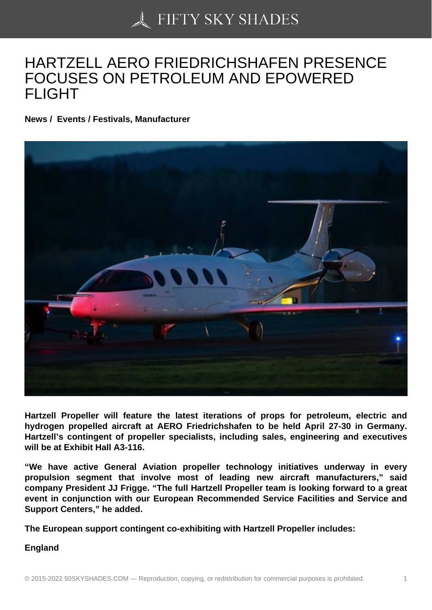## [HARTZELL AERO FRI](https://50skyshades.com)EDRICHSHAFEN PRESENCE FOCUSES ON PETROLEUM AND EPOWERED FLIGHT

News / Events / Festivals, Manufacturer

Hartzell Propeller will feature the latest iterations of props for petroleum, electric and hydrogen propelled aircraft at AERO Friedrichshafen to be held April 27-30 in Germany. Hartzell's contingent of propeller specialists, including sales, engineering and executives will be at Exhibit Hall A3-116.

"We have active General Aviation propeller technology initiatives underway in every propulsion segment that involve most of leading new aircraft manufacturers," said company President JJ Frigge. "The full Hartzell Propeller team is looking forward to a great event in conjunction with our European Recommended Service Facilities and Service and Support Centers," he added.

The European support contingent co-exhibiting with Hartzell Propeller includes:

England